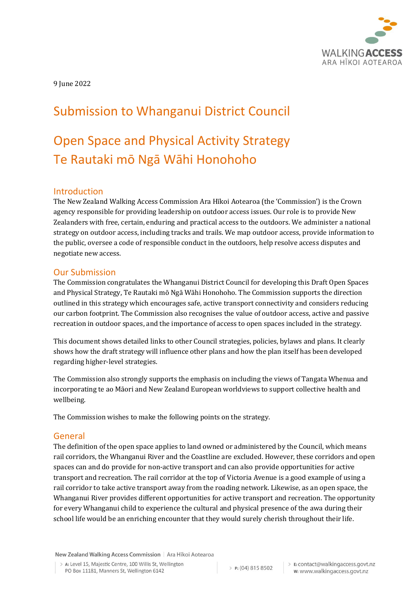

9 June 2022

# Submission to Whanganui District Council

# Open Space and Physical Activity Strategy Te Rautaki mō Ngā Wāhi Honohoho

### Introduction

The New Zealand Walking Access Commission Ara Hīkoi Aotearoa (the 'Commission') is the Crown agency responsible for providing leadership on outdoor access issues. Our role is to provide New Zealanders with free, certain, enduring and practical access to the outdoors. We administer a national strategy on outdoor access, including tracks and trails. We map outdoor access, provide information to the public, oversee a code of responsible conduct in the outdoors, help resolve access disputes and negotiate new access.

#### Our Submission

The Commission congratulates the Whanganui District Council for developing this Draft Open Spaces and Physical Strategy, Te Rautaki mō Ngā Wāhi Honohoho. The Commission supports the direction outlined in this strategy which encourages safe, active transport connectivity and considers reducing our carbon footprint. The Commission also recognises the value of outdoor access, active and passive recreation in outdoor spaces, and the importance of access to open spaces included in the strategy.

This document shows detailed links to other Council strategies, policies, bylaws and plans. It clearly shows how the draft strategy will influence other plans and how the plan itself has been developed regarding higher-level strategies.

The Commission also strongly supports the emphasis on including the views of Tangata Whenua and incorporating te ao Māori and New Zealand European worldviews to support collective health and wellbeing.

The Commission wishes to make the following points on the strategy.

#### General

The definition of the open space applies to land owned or administered by the Council, which means rail corridors, the Whanganui River and the Coastline are excluded. However, these corridors and open spaces can and do provide for non-active transport and can also provide opportunities for active transport and recreation. The rail corridor at the top of Victoria Avenue is a good example of using a rail corridor to take active transport away from the roading network. Likewise, as an open space, the Whanganui River provides different opportunities for active transport and recreation. The opportunity for every Whanganui child to experience the cultural and physical presence of the awa during their school life would be an enriching encounter that they would surely cherish throughout their life.

New Zealand Walking Access Commission | Ara Hīkoi Aotearoa

> A: Level 15, Majestic Centre, 100 Willis St, Wellington PO Box 11181, Manners St, Wellington 6142

P: (04) 815 8502